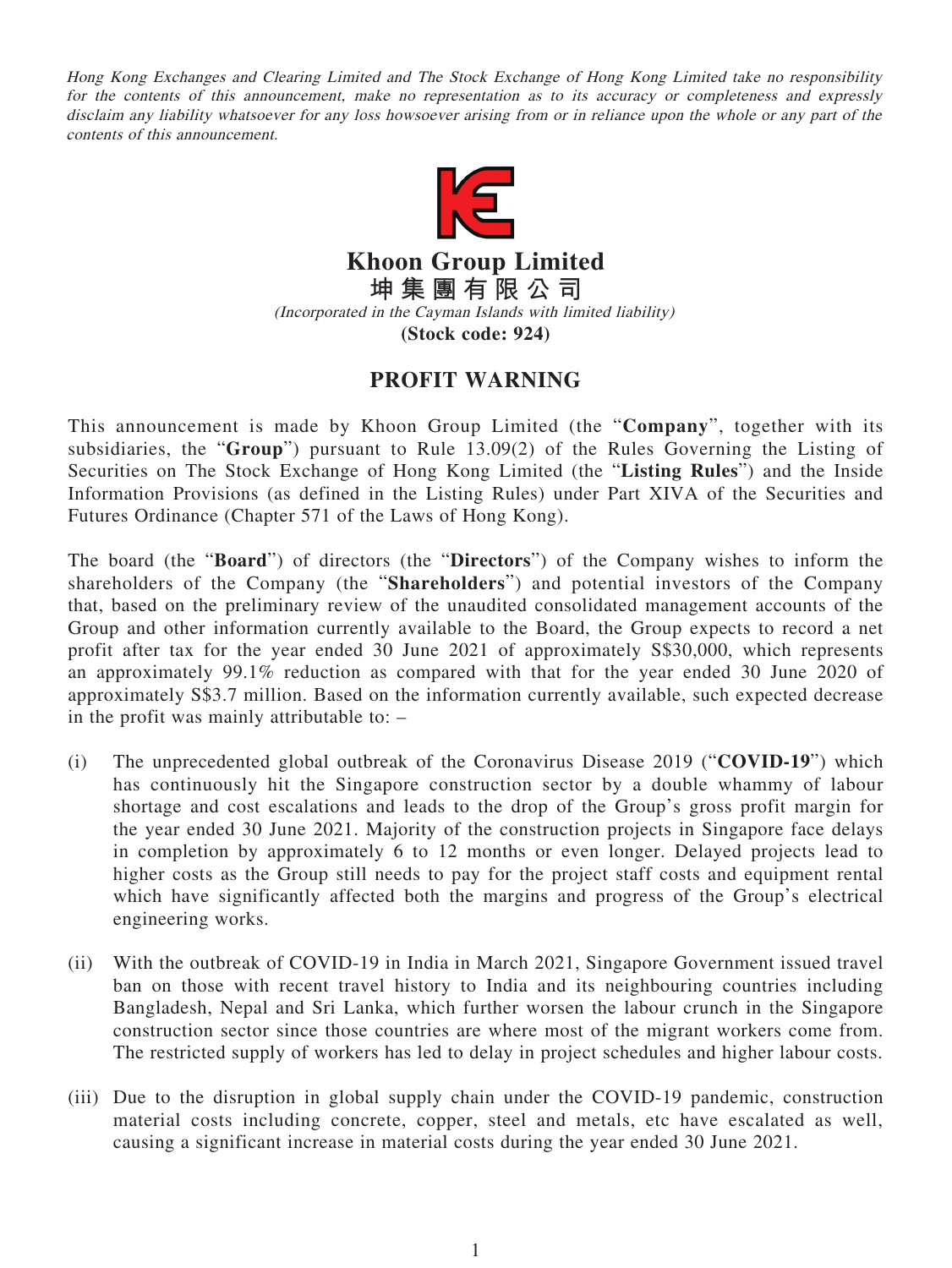Hong Kong Exchanges and Clearing Limited and The Stock Exchange of Hong Kong Limited take no responsibility for the contents of this announcement, make no representation as to its accuracy or completeness and expressly disclaim any liability whatsoever for any loss howsoever arising from or in reliance upon the whole or any part of the contents of this announcement.



**Khoon Group Limited 坤集團有限公司** (Incorporated in the Cayman Islands with limited liability)

**(Stock code: 924)**

## **PROFIT WARNING**

This announcement is made by Khoon Group Limited (the "**Company**", together with its subsidiaries, the "**Group**") pursuant to Rule 13.09(2) of the Rules Governing the Listing of Securities on The Stock Exchange of Hong Kong Limited (the "**Listing Rules**") and the Inside Information Provisions (as defined in the Listing Rules) under Part XIVA of the Securities and Futures Ordinance (Chapter 571 of the Laws of Hong Kong).

The board (the "**Board**") of directors (the "**Directors**") of the Company wishes to inform the shareholders of the Company (the "**Shareholders**") and potential investors of the Company that, based on the preliminary review of the unaudited consolidated management accounts of the Group and other information currently available to the Board, the Group expects to record a net profit after tax for the year ended 30 June 2021 of approximately S\$30,000, which represents an approximately 99.1% reduction as compared with that for the year ended 30 June 2020 of approximately S\$3.7 million. Based on the information currently available, such expected decrease in the profit was mainly attributable to: –

- (i) The unprecedented global outbreak of the Coronavirus Disease 2019 ("**COVID-19**") which has continuously hit the Singapore construction sector by a double whammy of labour shortage and cost escalations and leads to the drop of the Group's gross profit margin for the year ended 30 June 2021. Majority of the construction projects in Singapore face delays in completion by approximately 6 to 12 months or even longer. Delayed projects lead to higher costs as the Group still needs to pay for the project staff costs and equipment rental which have significantly affected both the margins and progress of the Group's electrical engineering works.
- (ii) With the outbreak of COVID-19 in India in March 2021, Singapore Government issued travel ban on those with recent travel history to India and its neighbouring countries including Bangladesh, Nepal and Sri Lanka, which further worsen the labour crunch in the Singapore construction sector since those countries are where most of the migrant workers come from. The restricted supply of workers has led to delay in project schedules and higher labour costs.
- (iii) Due to the disruption in global supply chain under the COVID-19 pandemic, construction material costs including concrete, copper, steel and metals, etc have escalated as well, causing a significant increase in material costs during the year ended 30 June 2021.